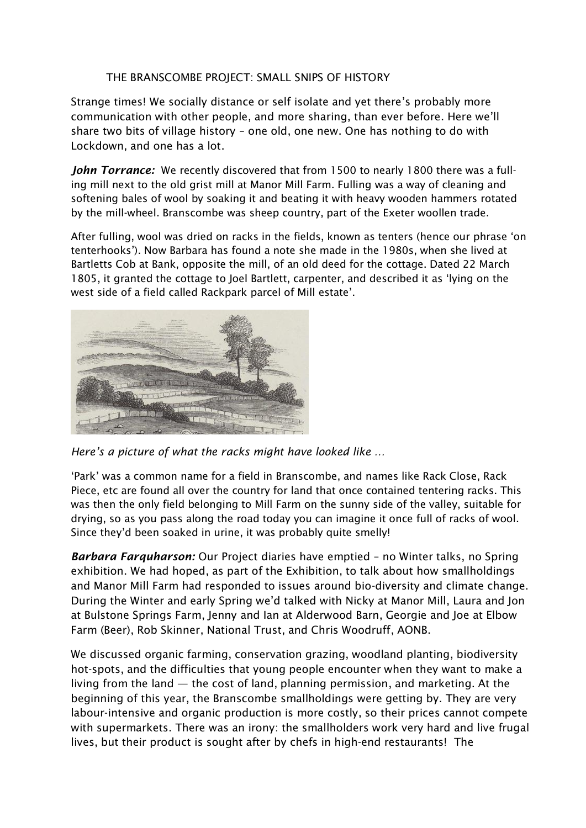## THE BRANSCOMBE PROJECT: SMALL SNIPS OF HISTORY

Strange times! We socially distance or self isolate and yet there's probably more communication with other people, and more sharing, than ever before. Here we'll share two bits of village history – one old, one new. One has nothing to do with Lockdown, and one has a lot.

*John Torrance:* We recently discovered that from 1500 to nearly 1800 there was a fulling mill next to the old grist mill at Manor Mill Farm. Fulling was a way of cleaning and softening bales of wool by soaking it and beating it with heavy wooden hammers rotated by the mill-wheel. Branscombe was sheep country, part of the Exeter woollen trade.

After fulling, wool was dried on racks in the fields, known as tenters (hence our phrase 'on tenterhooks'). Now Barbara has found a note she made in the 1980s, when she lived at Bartletts Cob at Bank, opposite the mill, of an old deed for the cottage. Dated 22 March 1805, it granted the cottage to Joel Bartlett, carpenter, and described it as 'lying on the west side of a field called Rackpark parcel of Mill estate'.



*Here's a picture of what the racks might have looked like …* 

'Park' was a common name for a field in Branscombe, and names like Rack Close, Rack Piece, etc are found all over the country for land that once contained tentering racks. This was then the only field belonging to Mill Farm on the sunny side of the valley, suitable for drying, so as you pass along the road today you can imagine it once full of racks of wool. Since they'd been soaked in urine, it was probably quite smelly!

*Barbara Farquharson:* Our Project diaries have emptied – no Winter talks, no Spring exhibition. We had hoped, as part of the Exhibition, to talk about how smallholdings and Manor Mill Farm had responded to issues around bio-diversity and climate change. During the Winter and early Spring we'd talked with Nicky at Manor Mill, Laura and Jon at Bulstone Springs Farm, Jenny and Ian at Alderwood Barn, Georgie and Joe at Elbow Farm (Beer), Rob Skinner, National Trust, and Chris Woodruff, AONB.

We discussed organic farming, conservation grazing, woodland planting, biodiversity hot-spots, and the difficulties that young people encounter when they want to make a living from the land — the cost of land, planning permission, and marketing. At the beginning of this year, the Branscombe smallholdings were getting by. They are very labour-intensive and organic production is more costly, so their prices cannot compete with supermarkets. There was an irony: the smallholders work very hard and live frugal lives, but their product is sought after by chefs in high-end restaurants! The